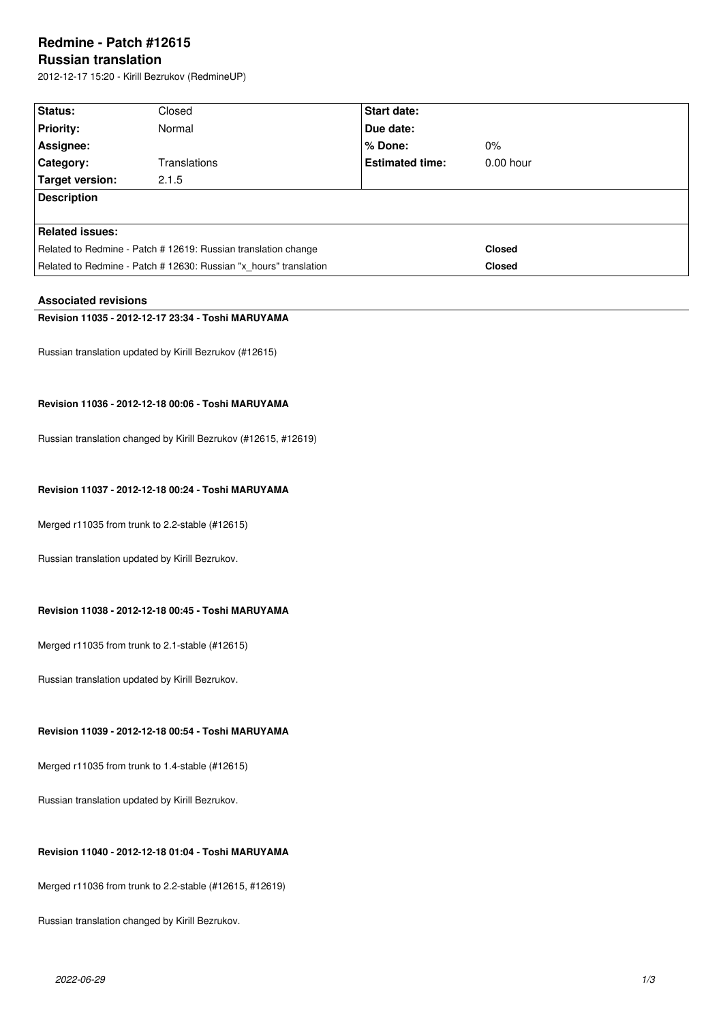# **Redmine - Patch #12615**

# **Russian translation**

2012-12-17 15:20 - Kirill Bezrukov (RedmineUP)

| <b>Status:</b>                                                    | Closed       | <b>Start date:</b>     |               |
|-------------------------------------------------------------------|--------------|------------------------|---------------|
| <b>Priority:</b>                                                  | Normal       | <b>Due date:</b>       |               |
| Assignee:                                                         |              | ∣% Done:               | $0\%$         |
| Category:                                                         | Translations | <b>Estimated time:</b> | $0.00$ hour   |
| <b>Target version:</b>                                            | 2.1.5        |                        |               |
| <b>Description</b>                                                |              |                        |               |
|                                                                   |              |                        |               |
| <b>Related issues:</b>                                            |              |                        |               |
| Related to Redmine - Patch # 12619: Russian translation change    |              |                        | <b>Closed</b> |
| Related to Redmine - Patch # 12630: Russian "x hours" translation |              |                        | <b>Closed</b> |

# **Associated revisions**

# **Revision 11035 - 2012-12-17 23:34 - Toshi MARUYAMA**

Russian translation updated by Kirill Bezrukov (#12615)

# **Revision 11036 - 2012-12-18 00:06 - Toshi MARUYAMA**

Russian translation changed by Kirill Bezrukov (#12615, #12619)

# **Revision 11037 - 2012-12-18 00:24 - Toshi MARUYAMA**

Merged r11035 from trunk to 2.2-stable (#12615)

Russian translation updated by Kirill Bezrukov.

#### **Revision 11038 - 2012-12-18 00:45 - Toshi MARUYAMA**

Merged r11035 from trunk to 2.1-stable (#12615)

Russian translation updated by Kirill Bezrukov.

# **Revision 11039 - 2012-12-18 00:54 - Toshi MARUYAMA**

Merged r11035 from trunk to 1.4-stable (#12615)

Russian translation updated by Kirill Bezrukov.

#### **Revision 11040 - 2012-12-18 01:04 - Toshi MARUYAMA**

Merged r11036 from trunk to 2.2-stable (#12615, #12619)

Russian translation changed by Kirill Bezrukov.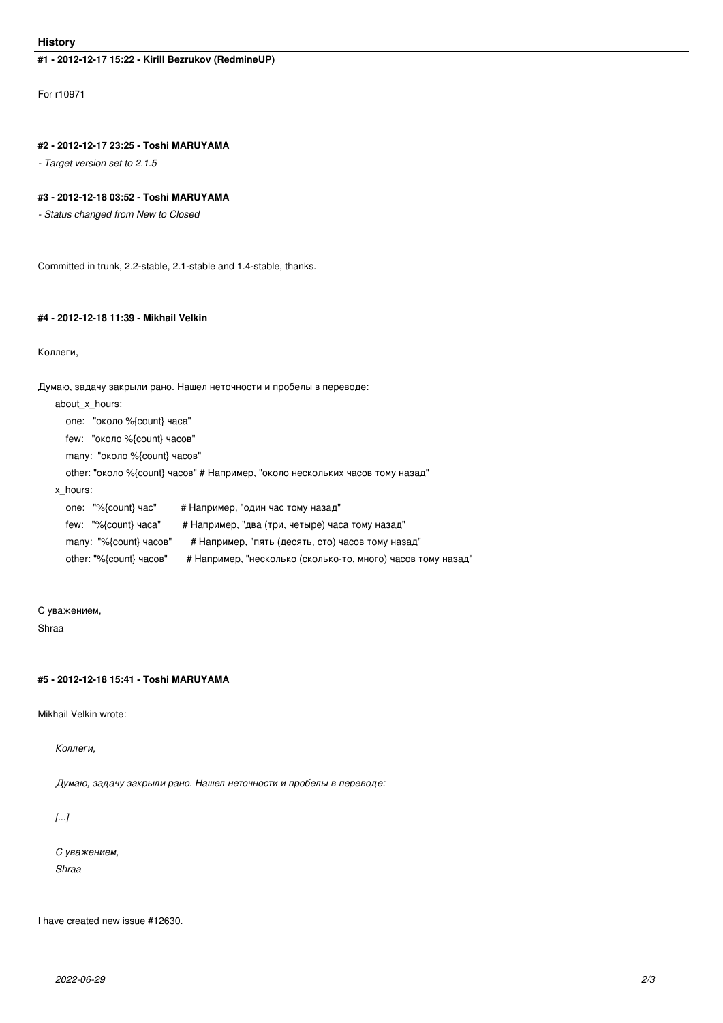#### **History**

# **#1 - 2012-12-17 15:22 - Kirill Bezrukov (RedmineUP)**

For r10971

#### **#2 - 2012-12-17 23:25 - Toshi MARUYAMA**

*- Target version set to 2.1.5*

#### **#3 - 2012-12-18 03:52 - Toshi MARUYAMA**

*- Status changed from New to Closed*

Committed in trunk, 2.2-stable, 2.1-stable and 1.4-stable, thanks.

# **#4 - 2012-12-18 11:39 - Mikhail Velkin**

#### Коллеги,

Думаю, задачу закрыли рано. Нашел неточности и пробелы в переводе:

about\_x\_hours:

one: "около %{count} часа"

few: "около %{count} часов"

many: "около %{count} часов"

other: "около %{count} часов" # Например, "около нескольких часов тому назад"

x\_hours:

one: "%{count} час" # Например, "один час тому назад" few: "%{count} часа" # Например, "два (три, четыре) часа тому назад" many: "%{count} часов" # Например, "пять (десять, сто) часов тому назад" other: "%{count} часов" # Например, "несколько (сколько-то, много) часов тому назад"

# С уважением,

Shraa

# **#5 - 2012-12-18 15:41 - Toshi MARUYAMA**

Mikhail Velkin wrote:

*Коллеги,*

*Думаю, задачу закрыли рано. Нашел неточности и пробелы в переводе:*

*[...]*

*С уважением, Shraa*

I have created new issue #12630.